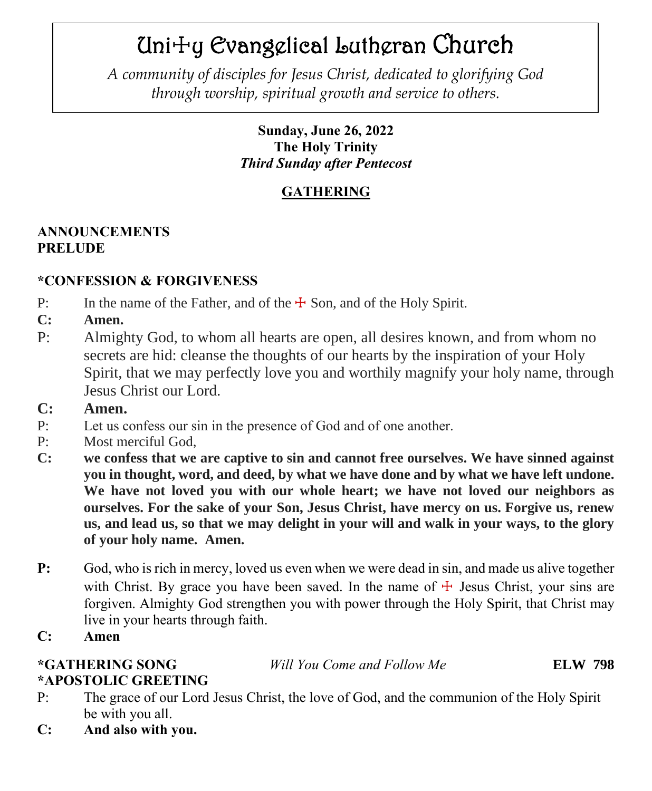# Uni☩y Evangelical Lutheran Church

 *through worship, spiritual growth and service to others.A community of disciples for Jesus Christ, dedicated to glorifying God*

# **Sunday, June 26, 2022 The Holy Trinity** *Third Sunday after Pentecost*

# **GATHERING**

# **ANNOUNCEMENTS PRELUDE**

# **\*CONFESSION & FORGIVENESS**

- P: In the name of the Father, and of the  $\pm$  Son, and of the Holy Spirit.
- **C: Amen.**
- P: Almighty God, to whom all hearts are open, all desires known, and from whom no secrets are hid: cleanse the thoughts of our hearts by the inspiration of your Holy Spirit, that we may perfectly love you and worthily magnify your holy name, through Jesus Christ our Lord.
- **C: Amen.**
- P: Let us confess our sin in the presence of God and of one another.
- P: Most merciful God,
- **C: we confess that we are captive to sin and cannot free ourselves. We have sinned against you in thought, word, and deed, by what we have done and by what we have left undone. We have not loved you with our whole heart; we have not loved our neighbors as ourselves. For the sake of your Son, Jesus Christ, have mercy on us. Forgive us, renew us, and lead us, so that we may delight in your will and walk in your ways, to the glory of your holy name. Amen.**
- **P:** God, who is rich in mercy, loved us even when we were dead in sin, and made us alive together with Christ. By grace you have been saved. In the name of  $\pm$  Jesus Christ, your sins are forgiven. Almighty God strengthen you with power through the Holy Spirit, that Christ may live in your hearts through faith.
- **C: Amen**

# **\*GATHERING SONG** *Will You Come and Follow Me* **ELW 798**

# **\*APOSTOLIC GREETING**

- P: The grace of our Lord Jesus Christ, the love of God, and the communion of the Holy Spirit be with you all.
- **C: And also with you.**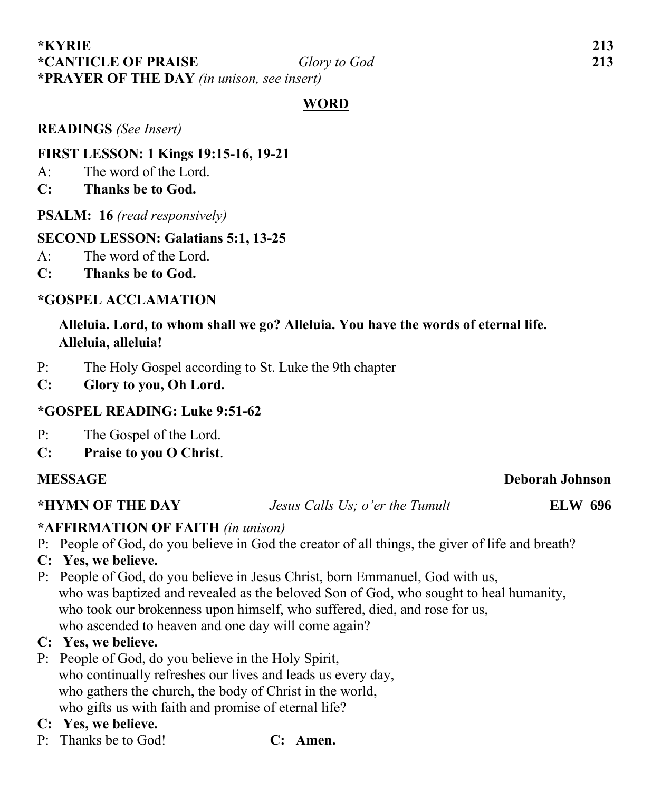#### **\*KYRIE 213 \*CANTICLE OF PRAISE** *Glory to God* **213 \*PRAYER OF THE DAY** *(in unison, see insert)*

### **WORD**

**READINGS** *(See Insert)*

### **FIRST LESSON: 1 Kings 19:15-16, 19-21**

 $A^{\dagger}$  The word of the Lord.

- **C: Thanks be to God.**
- **PSALM: 16** *(read responsively)*

### **SECOND LESSON: Galatians 5:1, 13-25**

- A: The word of the Lord.
- **C: Thanks be to God.**

### **\*GOSPEL ACCLAMATION**

## **Alleluia. Lord, to whom shall we go? Alleluia. You have the words of eternal life. Alleluia, alleluia!**

- P: The Holy Gospel according to St. Luke the 9th chapter
- **C: Glory to you, Oh Lord.**

### **\*GOSPEL READING: Luke 9:51-62**

- P: The Gospel of the Lord.
- **C: Praise to you O Christ**.

#### **MESSAGE** Deborah Johnson

**\*HYMN OF THE DAY** *Jesus Calls Us; o'er the Tumult* **ELW 696**

### **\*AFFIRMATION OF FAITH** *(in unison)*

- P: People of God, do you believe in God the creator of all things, the giver of life and breath?
- **C: Yes, we believe.**
- P: People of God, do you believe in Jesus Christ, born Emmanuel, God with us, who was baptized and revealed as the beloved Son of God, who sought to heal humanity, who took our brokenness upon himself, who suffered, died, and rose for us, who ascended to heaven and one day will come again?

### **C: Yes, we believe.**

P: People of God, do you believe in the Holy Spirit, who continually refreshes our lives and leads us every day, who gathers the church, the body of Christ in the world, who gifts us with faith and promise of eternal life?

# **C: Yes, we believe.**

- P: Thanks be to God! **C: Amen.**
	-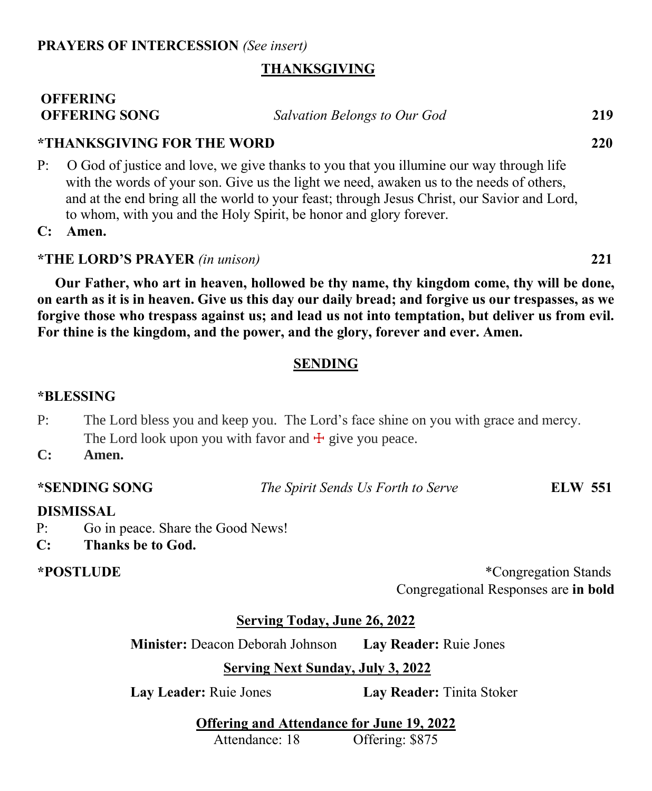### **THANKSGIVING**

#### **OFFERING OFFERING SONG** *Salvation Belongs to Our God* **219**

#### **\*THANKSGIVING FOR THE WORD 220**

P: O God of justice and love, we give thanks to you that you illumine our way through life with the words of your son. Give us the light we need, awaken us to the needs of others, and at the end bring all the world to your feast; through Jesus Christ, our Savior and Lord, to whom, with you and the Holy Spirit, be honor and glory forever.

**C: Amen.**

#### **\*THE LORD'S PRAYER** *(in unison)* **221**

 **Our Father, who art in heaven, hollowed be thy name, thy kingdom come, thy will be done, on earth as it is in heaven. Give us this day our daily bread; and forgive us our trespasses, as we forgive those who trespass against us; and lead us not into temptation, but deliver us from evil. For thine is the kingdom, and the power, and the glory, forever and ever. Amen.**

#### **SENDING**

#### **\*BLESSING**

- P: The Lord bless you and keep you. The Lord's face shine on you with grace and mercy. The Lord look upon you with favor and  $\pm$  give you peace.
- **C: Amen.**

**\*SENDING SONG** *The Spirit Sends Us Forth to Serve* **ELW 551**

#### **DISMISSAL**

- P: Go in peace. Share the Good News!
- **C: Thanks be to God.**

**\*POSTLUDE** \*Congregation Stands Congregational Responses are **in bold**

#### **Serving Today, June 26, 2022**

**Minister:** Deacon Deborah Johnson **Lay Reader:** Ruie Jones

#### **Serving Next Sunday, July 3, 2022**

**Lay Leader:** Ruie Jones **Lay Reader:** Tinita Stoker

**Offering and Attendance for June 19, 2022**

Attendance: 18 Offering: \$875